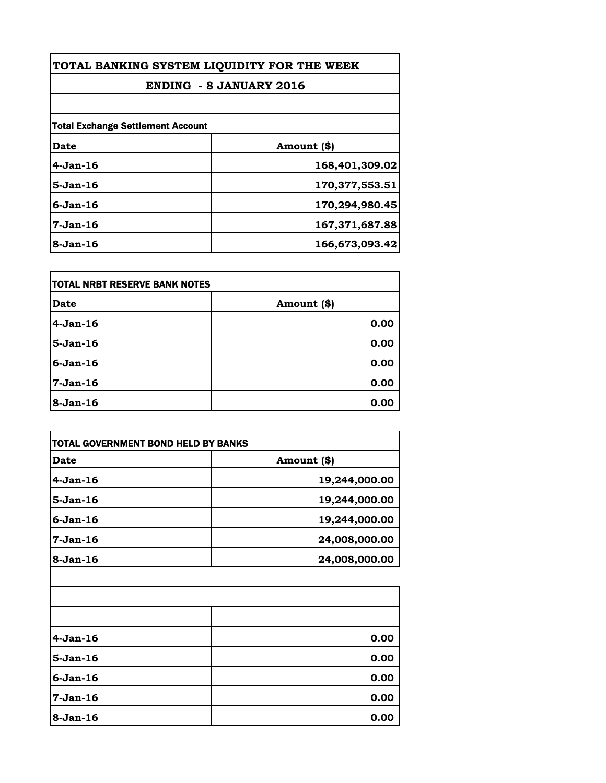| TOTAL BANKING SYSTEM LIQUIDITY FOR THE WEEK |                |
|---------------------------------------------|----------------|
| <b>ENDING - 8 JANUARY 2016</b>              |                |
|                                             |                |
| <b>Total Exchange Settlement Account</b>    |                |
| Date                                        | Amount (\$)    |
| $4-Jan-16$                                  | 168,401,309.02 |
| $5-Jan-16$                                  | 170,377,553.51 |
| $6$ -Jan-16                                 | 170,294,980.45 |
| $7$ -Jan-16                                 | 167,371,687.88 |
| $8-Jan-16$                                  | 166,673,093.42 |

| itotal NRBT RESERVE BANK NOTES |             |
|--------------------------------|-------------|
| <b>Date</b>                    | Amount (\$) |
| $4-Jan-16$                     | 0.00        |
| $5-Jan-16$                     | 0.00        |
| $6$ -Jan-16                    | 0.00        |
| $7-Jan-16$                     | 0.00        |
| 8-Jan-16                       | 0.00        |

| <b>TOTAL GOVERNMENT BOND HELD BY BANKS</b> |               |  |
|--------------------------------------------|---------------|--|
| Date                                       | Amount (\$)   |  |
| 4-Jan-16                                   | 19,244,000.00 |  |
| $5-Jan-16$                                 | 19,244,000.00 |  |
| $6-Jan-16$                                 | 19,244,000.00 |  |
| 7-Jan-16                                   | 24,008,000.00 |  |
| $8-Jan-16$                                 | 24,008,000.00 |  |
|                                            |               |  |
|                                            |               |  |
|                                            |               |  |
| $4-Jan-16$                                 | 0.00          |  |
| $5-Jan-16$                                 | 0.00          |  |
| $6$ -Jan-16                                | 0.00          |  |
| $7-Jan-16$                                 | 0.00          |  |
| $8-Jan-16$                                 | 0.00          |  |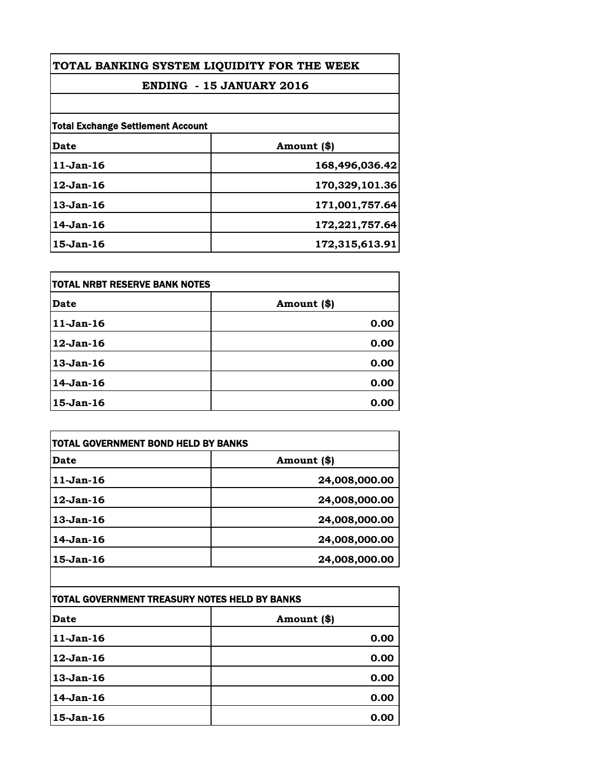| TOTAL BANKING SYSTEM LIQUIDITY FOR THE WEEK |                |  |
|---------------------------------------------|----------------|--|
| <b>ENDING - 15 JANUARY 2016</b>             |                |  |
|                                             |                |  |
| <b>Total Exchange Settlement Account</b>    |                |  |
| Date                                        | Amount (\$)    |  |
| $11$ -Jan-16                                | 168,496,036.42 |  |
| $12$ -Jan-16                                | 170,329,101.36 |  |
| $13$ -Jan-16                                | 171,001,757.64 |  |
| $14$ -Jan-16                                | 172,221,757.64 |  |
| $15$ -Jan-16                                | 172,315,613.91 |  |

| itotal NRBT RESERVE BANK NOTES |             |
|--------------------------------|-------------|
| Date                           | Amount (\$) |
| $11$ -Jan-16                   | 0.00        |
| 12-Jan-16                      | 0.00        |
| $13$ -Jan-16                   | 0.00        |
| 14-Jan-16                      | 0.00        |
| 15-Jan-16                      | 0.00        |

| Date         | Amount (\$)   |
|--------------|---------------|
| $11-Jan-16$  | 24,008,000.00 |
| $12$ -Jan-16 | 24,008,000.00 |
| $13$ -Jan-16 | 24,008,000.00 |
| 14-Jan-16    | 24,008,000.00 |
| $15$ -Jan-16 | 24,008,000.00 |

| ITOTAL GOVERNMENT TREASURY NOTES HELD BY BANKS |             |
|------------------------------------------------|-------------|
| Date                                           | Amount (\$) |
| $11$ -Jan-16                                   | 0.00        |
| 12-Jan-16                                      | 0.00        |
| 13-Jan-16                                      | 0.00        |
| 14-Jan-16                                      | 0.00        |
| 15-Jan-16                                      | 0.00        |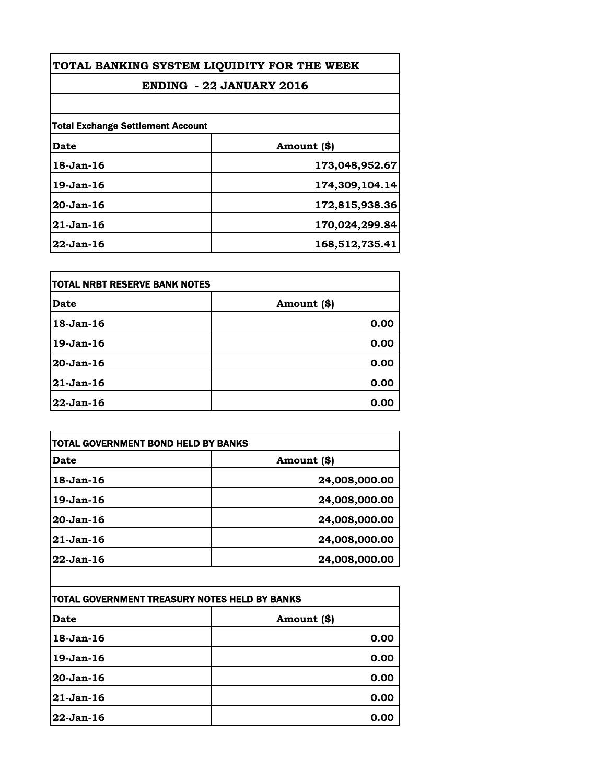| TOTAL BANKING SYSTEM LIQUIDITY FOR THE WEEK |                |  |
|---------------------------------------------|----------------|--|
| <b>ENDING - 22 JANUARY 2016</b>             |                |  |
|                                             |                |  |
| <b>Total Exchange Settlement Account</b>    |                |  |
| Date                                        | Amount (\$)    |  |
| $18$ -Jan- $16$                             | 173,048,952.67 |  |
| $19$ -Jan-16                                | 174,309,104.14 |  |
| $20$ -Jan-16                                | 172,815,938.36 |  |
| $21$ -Jan-16                                | 170,024,299.84 |  |
| 22-Jan-16                                   | 168,512,735.41 |  |

| itotal NRBT RESERVE BANK NOTES |             |
|--------------------------------|-------------|
| Date                           | Amount (\$) |
| 18-Jan-16                      | 0.00        |
| $19$ -Jan-16                   | 0.00        |
| $20$ -Jan-16                   | 0.00        |
| $21$ -Jan-16                   | 0.00        |
| 22-Jan-16                      | 0.00        |

| <b>Date</b>  | Amount (\$)   |
|--------------|---------------|
| 18-Jan-16    | 24,008,000.00 |
| $19$ -Jan-16 | 24,008,000.00 |
| $20$ -Jan-16 | 24,008,000.00 |
| 21-Jan-16    | 24,008,000.00 |
| 22-Jan-16    | 24,008,000.00 |

| TOTAL GOVERNMENT TREASURY NOTES HELD BY BANKS |             |  |
|-----------------------------------------------|-------------|--|
| Date                                          | Amount (\$) |  |
| 18-Jan-16                                     | 0.00        |  |
| 19-Jan-16                                     | 0.00        |  |
| $20$ -Jan-16                                  | 0.00        |  |
| 21-Jan-16                                     | 0.00        |  |
| 22-Jan-16                                     | 0.00        |  |